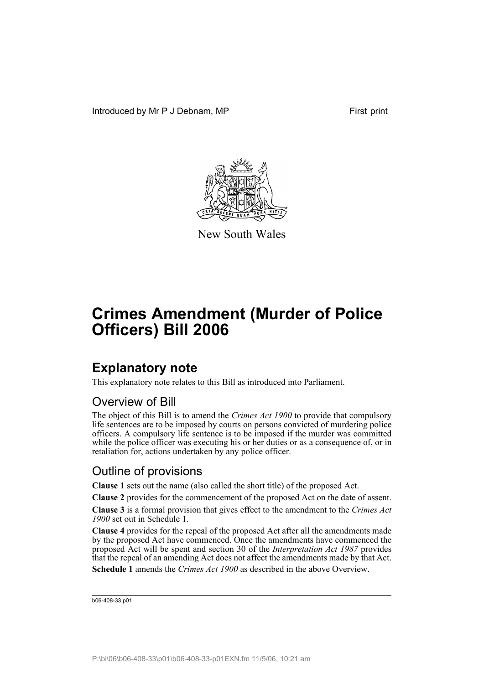Introduced by Mr P J Debnam, MP First print



New South Wales

# **Crimes Amendment (Murder of Police Officers) Bill 2006**

## **Explanatory note**

This explanatory note relates to this Bill as introduced into Parliament.

#### Overview of Bill

The object of this Bill is to amend the *Crimes Act 1900* to provide that compulsory life sentences are to be imposed by courts on persons convicted of murdering police officers. A compulsory life sentence is to be imposed if the murder was committed while the police officer was executing his or her duties or as a consequence of, or in retaliation for, actions undertaken by any police officer.

#### Outline of provisions

**Clause 1** sets out the name (also called the short title) of the proposed Act.

**Clause 2** provides for the commencement of the proposed Act on the date of assent.

**Clause 3** is a formal provision that gives effect to the amendment to the *Crimes Act 1900* set out in Schedule 1.

**Clause 4** provides for the repeal of the proposed Act after all the amendments made by the proposed Act have commenced. Once the amendments have commenced the proposed Act will be spent and section 30 of the *Interpretation Act 1987* provides that the repeal of an amending Act does not affect the amendments made by that Act. **Schedule 1** amends the *Crimes Act 1900* as described in the above Overview.

```
b06-408-33.p01
```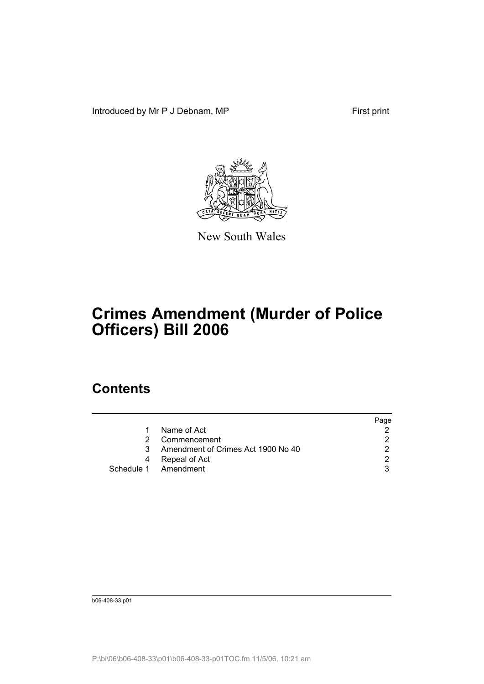Introduced by Mr P J Debnam, MP First print



New South Wales

## **Crimes Amendment (Murder of Police Officers) Bill 2006**

## **Contents**

|    |                                    | Page          |
|----|------------------------------------|---------------|
| 1. | Name of Act                        |               |
| 2. | Commencement                       | 2             |
| 3  | Amendment of Crimes Act 1900 No 40 |               |
| 4  | Repeal of Act                      | $\mathcal{D}$ |
|    | Schedule 1 Amendment               | 3             |

b06-408-33.p01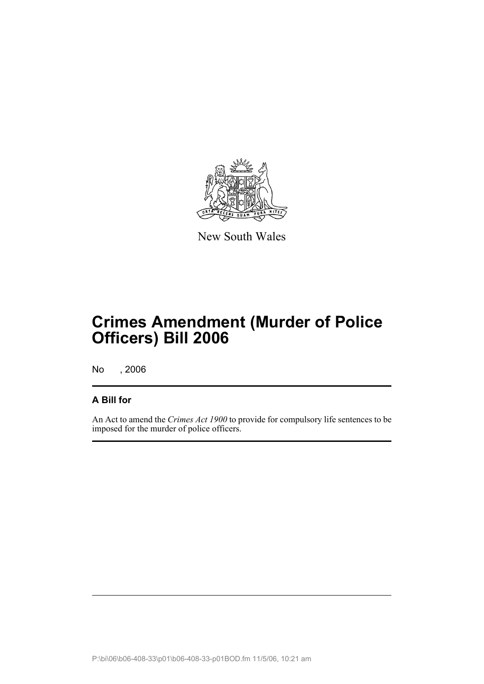

New South Wales

# **Crimes Amendment (Murder of Police Officers) Bill 2006**

No , 2006

#### **A Bill for**

An Act to amend the *Crimes Act 1900* to provide for compulsory life sentences to be imposed for the murder of police officers.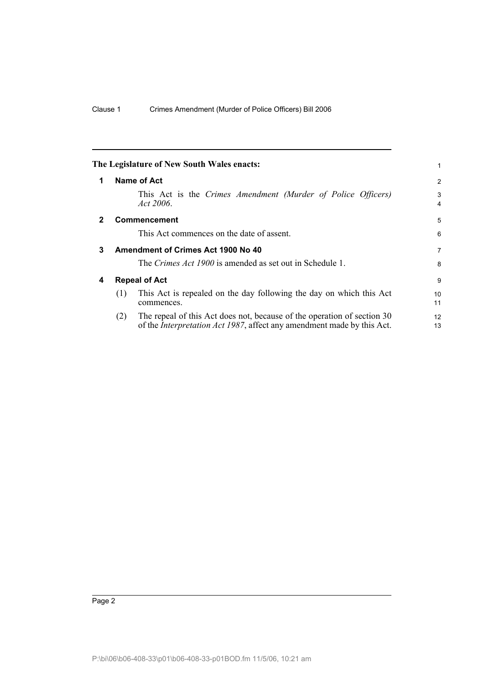<span id="page-5-3"></span><span id="page-5-2"></span><span id="page-5-1"></span><span id="page-5-0"></span>

|              |                      | The Legislature of New South Wales enacts:                                                                                                                | 1                     |
|--------------|----------------------|-----------------------------------------------------------------------------------------------------------------------------------------------------------|-----------------------|
| 1            |                      | Name of Act                                                                                                                                               | 2                     |
|              |                      | This Act is the Crimes Amendment (Murder of Police Officers)<br>Act 2006.                                                                                 | 3<br>$\overline{4}$   |
| $\mathbf{2}$ |                      | <b>Commencement</b>                                                                                                                                       | 5                     |
|              |                      | This Act commences on the date of assent.                                                                                                                 | 6                     |
| 3            |                      | Amendment of Crimes Act 1900 No 40                                                                                                                        | $\overline{7}$        |
|              |                      | The Crimes Act 1900 is amended as set out in Schedule 1.                                                                                                  | 8                     |
| 4            | <b>Repeal of Act</b> |                                                                                                                                                           | 9                     |
|              | (1)                  | This Act is repealed on the day following the day on which this Act<br>commences.                                                                         | 10 <sup>1</sup><br>11 |
|              | (2)                  | The repeal of this Act does not, because of the operation of section 30<br>of the <i>Interpretation Act 1987</i> , affect any amendment made by this Act. | 12<br>13              |
|              |                      |                                                                                                                                                           |                       |